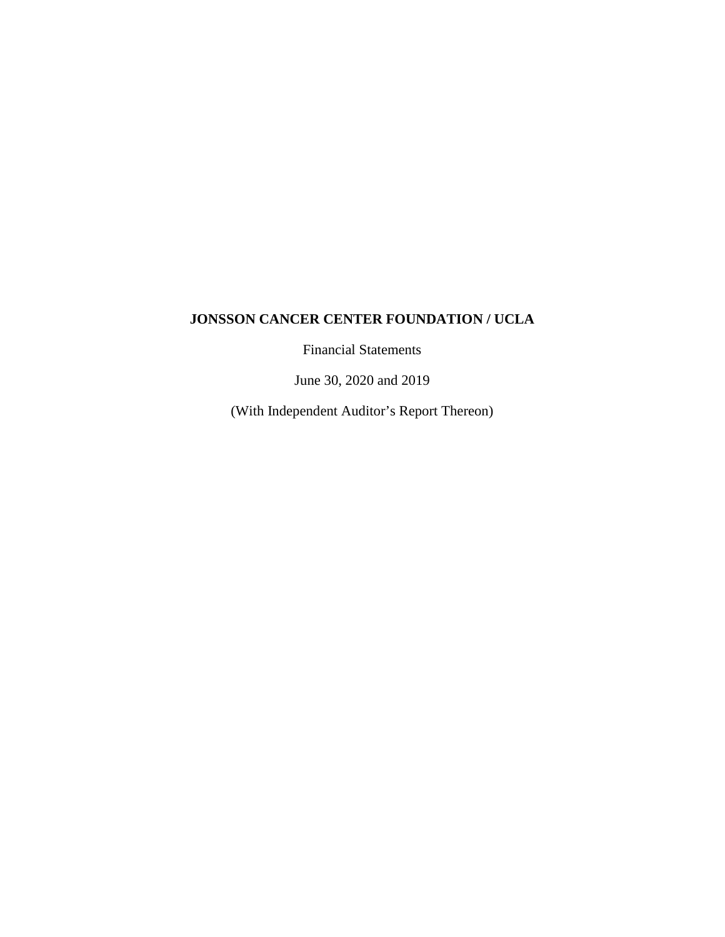Financial Statements

June 30, 2020 and 2019

(With Independent Auditor's Report Thereon)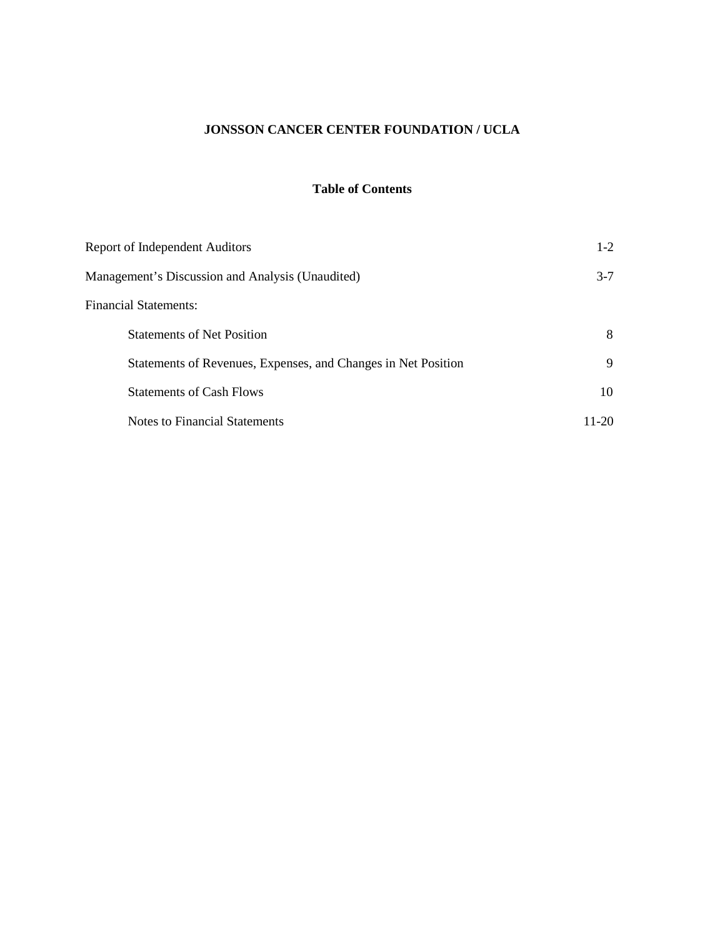## **Table of Contents**

| <b>Report of Independent Auditors</b>                         | $1-2$     |
|---------------------------------------------------------------|-----------|
| Management's Discussion and Analysis (Unaudited)              | $3 - 7$   |
| <b>Financial Statements:</b>                                  |           |
| <b>Statements of Net Position</b>                             | 8         |
| Statements of Revenues, Expenses, and Changes in Net Position | 9         |
| <b>Statements of Cash Flows</b>                               | 10        |
| <b>Notes to Financial Statements</b>                          | $11 - 20$ |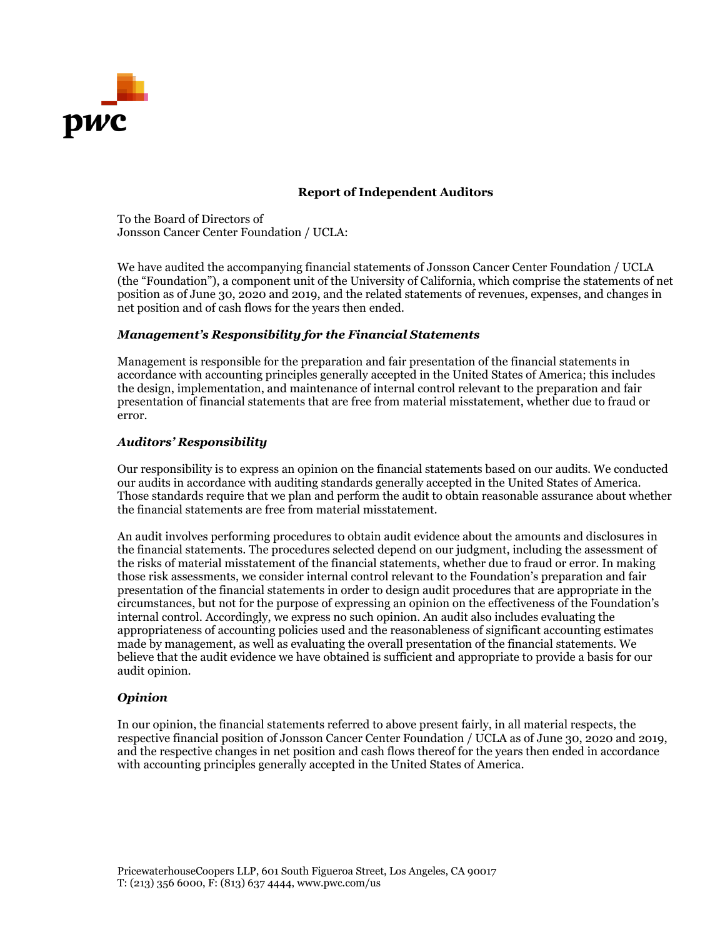

## **Report of Independent Auditors**

To the Board of Directors of Jonsson Cancer Center Foundation / UCLA:

We have audited the accompanying financial statements of Jonsson Cancer Center Foundation / UCLA (the "Foundation"), a component unit of the University of California, which comprise the statements of net position as of June 30, 2020 and 2019, and the related statements of revenues, expenses, and changes in net position and of cash flows for the years then ended.

### *Management's Responsibility for the Financial Statements*

Management is responsible for the preparation and fair presentation of the financial statements in accordance with accounting principles generally accepted in the United States of America; this includes the design, implementation, and maintenance of internal control relevant to the preparation and fair presentation of financial statements that are free from material misstatement, whether due to fraud or error.

### *Auditors' Responsibility*

Our responsibility is to express an opinion on the financial statements based on our audits. We conducted our audits in accordance with auditing standards generally accepted in the United States of America. Those standards require that we plan and perform the audit to obtain reasonable assurance about whether the financial statements are free from material misstatement.

An audit involves performing procedures to obtain audit evidence about the amounts and disclosures in the financial statements. The procedures selected depend on our judgment, including the assessment of the risks of material misstatement of the financial statements, whether due to fraud or error. In making those risk assessments, we consider internal control relevant to the Foundation's preparation and fair presentation of the financial statements in order to design audit procedures that are appropriate in the circumstances, but not for the purpose of expressing an opinion on the effectiveness of the Foundation's internal control. Accordingly, we express no such opinion. An audit also includes evaluating the appropriateness of accounting policies used and the reasonableness of significant accounting estimates made by management, as well as evaluating the overall presentation of the financial statements. We believe that the audit evidence we have obtained is sufficient and appropriate to provide a basis for our audit opinion.

#### *Opinion*

In our opinion, the financial statements referred to above present fairly, in all material respects, the respective financial position of Jonsson Cancer Center Foundation / UCLA as of June 30, 2020 and 2019, and the respective changes in net position and cash flows thereof for the years then ended in accordance with accounting principles generally accepted in the United States of America.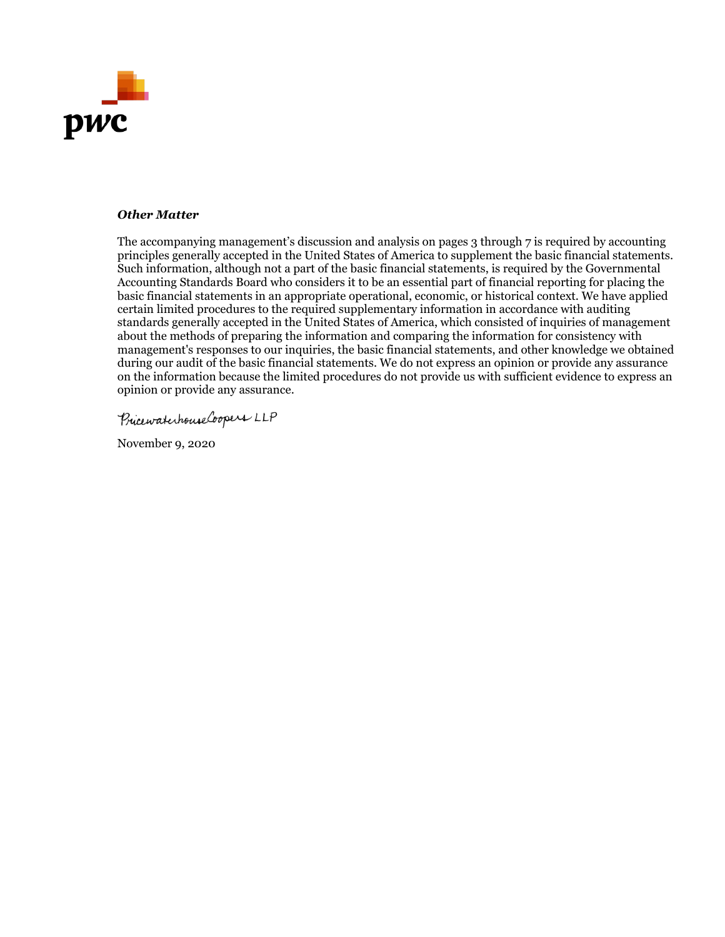

#### *Other Matter*

The accompanying management's discussion and analysis on pages 3 through 7 is required by accounting principles generally accepted in the United States of America to supplement the basic financial statements. Such information, although not a part of the basic financial statements, is required by the Governmental Accounting Standards Board who considers it to be an essential part of financial reporting for placing the basic financial statements in an appropriate operational, economic, or historical context. We have applied certain limited procedures to the required supplementary information in accordance with auditing standards generally accepted in the United States of America, which consisted of inquiries of management about the methods of preparing the information and comparing the information for consistency with management's responses to our inquiries, the basic financial statements, and other knowledge we obtained during our audit of the basic financial statements. We do not express an opinion or provide any assurance on the information because the limited procedures do not provide us with sufficient evidence to express an opinion or provide any assurance.

Pricewaterhouse Coopers LLP

November 9, 2020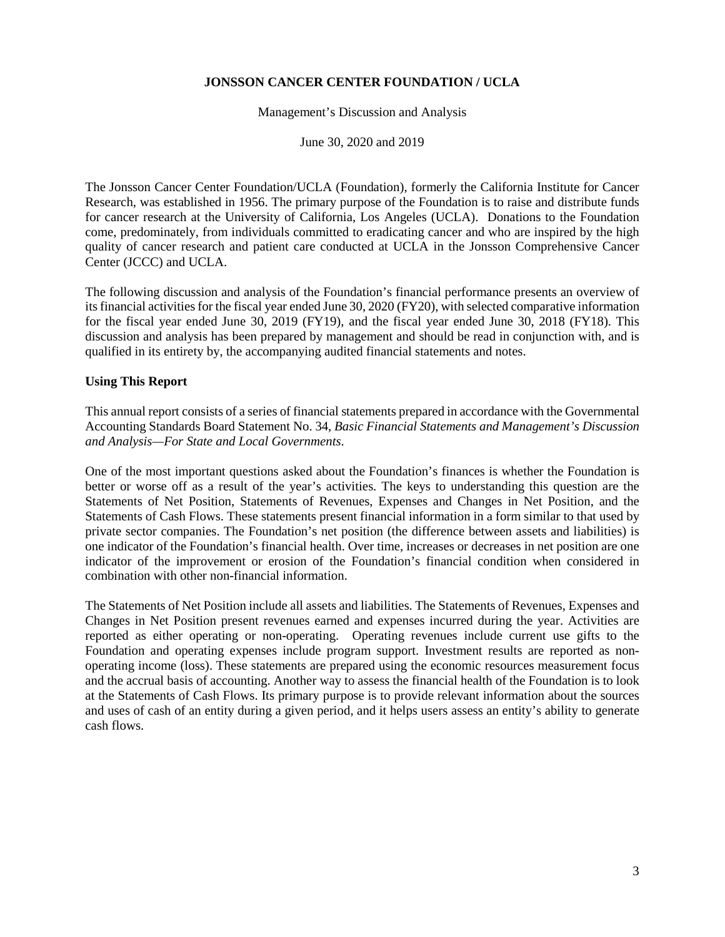Management's Discussion and Analysis

June 30, 2020 and 2019

The Jonsson Cancer Center Foundation/UCLA (Foundation), formerly the California Institute for Cancer Research, was established in 1956. The primary purpose of the Foundation is to raise and distribute funds for cancer research at the University of California, Los Angeles (UCLA). Donations to the Foundation come, predominately, from individuals committed to eradicating cancer and who are inspired by the high quality of cancer research and patient care conducted at UCLA in the Jonsson Comprehensive Cancer Center (JCCC) and UCLA.

The following discussion and analysis of the Foundation's financial performance presents an overview of its financial activities for the fiscal year ended June 30, 2020 (FY20), with selected comparative information for the fiscal year ended June 30, 2019 (FY19), and the fiscal year ended June 30, 2018 (FY18). This discussion and analysis has been prepared by management and should be read in conjunction with, and is qualified in its entirety by, the accompanying audited financial statements and notes.

### **Using This Report**

This annual report consists of a series of financial statements prepared in accordance with the Governmental Accounting Standards Board Statement No. 34, *Basic Financial Statements and Management's Discussion and Analysis—For State and Local Governments*.

One of the most important questions asked about the Foundation's finances is whether the Foundation is better or worse off as a result of the year's activities. The keys to understanding this question are the Statements of Net Position, Statements of Revenues, Expenses and Changes in Net Position, and the Statements of Cash Flows. These statements present financial information in a form similar to that used by private sector companies. The Foundation's net position (the difference between assets and liabilities) is one indicator of the Foundation's financial health. Over time, increases or decreases in net position are one indicator of the improvement or erosion of the Foundation's financial condition when considered in combination with other non-financial information.

The Statements of Net Position include all assets and liabilities. The Statements of Revenues, Expenses and Changes in Net Position present revenues earned and expenses incurred during the year. Activities are reported as either operating or non-operating. Operating revenues include current use gifts to the Foundation and operating expenses include program support. Investment results are reported as nonoperating income (loss). These statements are prepared using the economic resources measurement focus and the accrual basis of accounting. Another way to assess the financial health of the Foundation is to look at the Statements of Cash Flows. Its primary purpose is to provide relevant information about the sources and uses of cash of an entity during a given period, and it helps users assess an entity's ability to generate cash flows.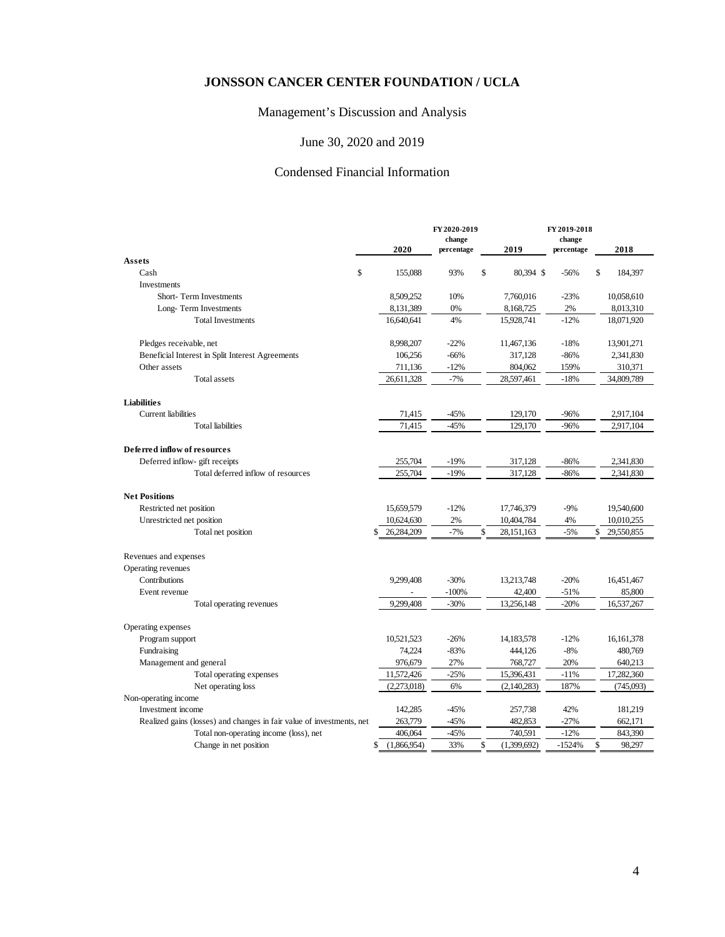Management's Discussion and Analysis

# June 30, 2020 and 2019

# Condensed Financial Information

|                                                                       |                   | FY2020-2019          |                   | FY 2019-2018         |                  |
|-----------------------------------------------------------------------|-------------------|----------------------|-------------------|----------------------|------------------|
|                                                                       | 2020              | change<br>percentage | 2019              | change<br>percentage | 2018             |
| Assets                                                                |                   |                      |                   |                      |                  |
| \$<br>Cash                                                            | 155,088           | 93%                  | \$<br>80,394 \$   | $-56%$               | \$<br>184,397    |
| Investments                                                           |                   |                      |                   |                      |                  |
| Short-Term Investments                                                | 8,509,252         | 10%                  | 7.760.016         | $-23%$               | 10,058,610       |
| Long-Term Investments                                                 | 8,131,389         | 0%                   | 8,168,725         | 2%                   | 8,013,310        |
| <b>Total Investments</b>                                              | 16,640,641        | 4%                   | 15,928,741        | $-12%$               | 18,071,920       |
| Pledges receivable, net                                               | 8,998,207         | $-22%$               | 11,467,136        | $-18%$               | 13.901,271       |
| Beneficial Interest in Split Interest Agreements                      | 106,256           | $-66%$               | 317,128           | $-86%$               | 2,341,830        |
| Other assets                                                          | 711,136           | $-12%$               | 804,062           | 159%                 | 310,371          |
| <b>Total assets</b>                                                   | 26,611,328        | $-7%$                | 28,597,461        | $-18%$               | 34,809,789       |
| <b>Liabilities</b>                                                    |                   |                      |                   |                      |                  |
| Current liabilities                                                   | 71,415            | $-45%$               | 129,170           | $-96%$               | 2,917,104        |
| <b>Total liabilities</b>                                              | 71,415            | $-45%$               | 129,170           | $-96%$               | 2,917,104        |
| Deferred inflow of resources                                          |                   |                      |                   |                      |                  |
| Deferred inflow- gift receipts                                        | 255,704           | $-19%$               | 317,128           | -86%                 | 2,341,830        |
| Total deferred inflow of resources                                    | 255,704           | $-19%$               | 317,128           | $-86%$               | 2,341,830        |
| <b>Net Positions</b>                                                  |                   |                      |                   |                      |                  |
| Restricted net position                                               | 15,659,579        | $-12%$               | 17,746,379        | $-9%$                | 19,540,600       |
| Unrestricted net position                                             | 10,624,630        | 2%                   | 10,404,784        | 4%                   | 10,010,255       |
| Total net position                                                    | 26,284,209<br>\$  | $-7%$                | \$<br>28,151,163  | $-5%$                | \$<br>29,550,855 |
| Revenues and expenses                                                 |                   |                      |                   |                      |                  |
| Operating revenues                                                    |                   |                      |                   |                      |                  |
| Contributions                                                         | 9,299,408         | $-30%$               | 13,213,748        | $-20%$               | 16,451,467       |
| Event revenue                                                         |                   | $-100%$              | 42,400            | $-51%$               | 85,800           |
| Total operating revenues                                              | 9,299,408         | $-30%$               | 13,256,148        | $-20%$               | 16,537,267       |
| Operating expenses                                                    |                   |                      |                   |                      |                  |
| Program support                                                       | 10,521,523        | $-26%$               | 14,183,578        | $-12%$               | 16, 161, 378     |
| Fundraising                                                           | 74,224            | $-83%$               | 444,126           | $-8%$                | 480,769          |
| Management and general                                                | 976,679           | 27%                  | 768,727           | 20%                  | 640,213          |
| Total operating expenses                                              | 11,572,426        | $-25%$               | 15,396,431        | $-11%$               | 17,282,360       |
| Net operating loss                                                    | (2,273,018)       | 6%                   | (2,140,283)       | 187%                 | (745,093)        |
| Non-operating income                                                  |                   |                      |                   |                      |                  |
| Investment income                                                     | 142,285           | $-45%$               | 257,738           | 42%                  | 181,219          |
| Realized gains (losses) and changes in fair value of investments, net | 263,779           | $-45%$               | 482,853           | $-27%$               | 662,171          |
| Total non-operating income (loss), net                                | 406,064           | $-45%$               | 740,591           | $-12%$               | 843,390          |
| Change in net position                                                | (1,866,954)<br>\$ | 33%                  | \$<br>(1,399,692) | $-1524%$             | \$<br>98,297     |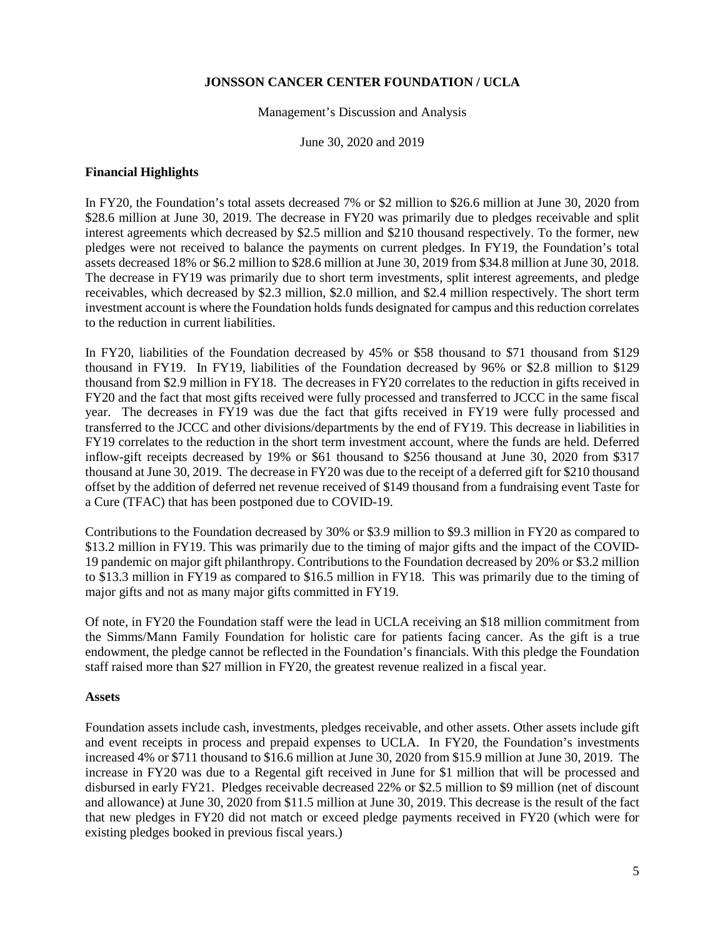Management's Discussion and Analysis

June 30, 2020 and 2019

### **Financial Highlights**

In FY20, the Foundation's total assets decreased 7% or \$2 million to \$26.6 million at June 30, 2020 from \$28.6 million at June 30, 2019. The decrease in FY20 was primarily due to pledges receivable and split interest agreements which decreased by \$2.5 million and \$210 thousand respectively. To the former, new pledges were not received to balance the payments on current pledges. In FY19, the Foundation's total assets decreased 18% or \$6.2 million to \$28.6 million at June 30, 2019 from \$34.8 million at June 30, 2018. The decrease in FY19 was primarily due to short term investments, split interest agreements, and pledge receivables, which decreased by \$2.3 million, \$2.0 million, and \$2.4 million respectively. The short term investment account is where the Foundation holds funds designated for campus and this reduction correlates to the reduction in current liabilities.

In FY20, liabilities of the Foundation decreased by 45% or \$58 thousand to \$71 thousand from \$129 thousand in FY19. In FY19, liabilities of the Foundation decreased by 96% or \$2.8 million to \$129 thousand from \$2.9 million in FY18. The decreases in FY20 correlates to the reduction in gifts received in FY20 and the fact that most gifts received were fully processed and transferred to JCCC in the same fiscal year. The decreases in FY19 was due the fact that gifts received in FY19 were fully processed and transferred to the JCCC and other divisions/departments by the end of FY19. This decrease in liabilities in FY19 correlates to the reduction in the short term investment account, where the funds are held. Deferred inflow-gift receipts decreased by 19% or \$61 thousand to \$256 thousand at June 30, 2020 from \$317 thousand at June 30, 2019. The decrease in FY20 was due to the receipt of a deferred gift for \$210 thousand offset by the addition of deferred net revenue received of \$149 thousand from a fundraising event Taste for a Cure (TFAC) that has been postponed due to COVID-19.

Contributions to the Foundation decreased by 30% or \$3.9 million to \$9.3 million in FY20 as compared to \$13.2 million in FY19. This was primarily due to the timing of major gifts and the impact of the COVID-19 pandemic on major gift philanthropy. Contributions to the Foundation decreased by 20% or \$3.2 million to \$13.3 million in FY19 as compared to \$16.5 million in FY18. This was primarily due to the timing of major gifts and not as many major gifts committed in FY19.

Of note, in FY20 the Foundation staff were the lead in UCLA receiving an \$18 million commitment from the Simms/Mann Family Foundation for holistic care for patients facing cancer. As the gift is a true endowment, the pledge cannot be reflected in the Foundation's financials. With this pledge the Foundation staff raised more than \$27 million in FY20, the greatest revenue realized in a fiscal year.

#### **Assets**

Foundation assets include cash, investments, pledges receivable, and other assets. Other assets include gift and event receipts in process and prepaid expenses to UCLA. In FY20, the Foundation's investments increased 4% or \$711 thousand to \$16.6 million at June 30, 2020 from \$15.9 million at June 30, 2019. The increase in FY20 was due to a Regental gift received in June for \$1 million that will be processed and disbursed in early FY21. Pledges receivable decreased 22% or \$2.5 million to \$9 million (net of discount and allowance) at June 30, 2020 from \$11.5 million at June 30, 2019. This decrease is the result of the fact that new pledges in FY20 did not match or exceed pledge payments received in FY20 (which were for existing pledges booked in previous fiscal years.)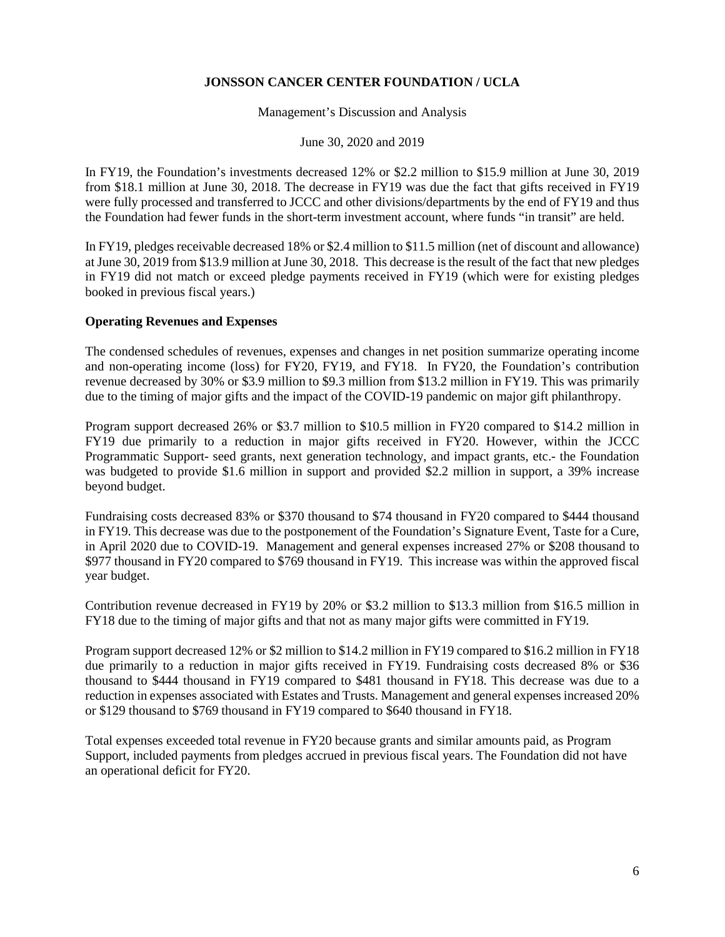Management's Discussion and Analysis

June 30, 2020 and 2019

In FY19, the Foundation's investments decreased 12% or \$2.2 million to \$15.9 million at June 30, 2019 from \$18.1 million at June 30, 2018. The decrease in FY19 was due the fact that gifts received in FY19 were fully processed and transferred to JCCC and other divisions/departments by the end of FY19 and thus the Foundation had fewer funds in the short-term investment account, where funds "in transit" are held.

In FY19, pledges receivable decreased 18% or \$2.4 million to \$11.5 million (net of discount and allowance) at June 30, 2019 from \$13.9 million at June 30, 2018. This decrease is the result of the fact that new pledges in FY19 did not match or exceed pledge payments received in FY19 (which were for existing pledges booked in previous fiscal years.)

### **Operating Revenues and Expenses**

The condensed schedules of revenues, expenses and changes in net position summarize operating income and non-operating income (loss) for FY20, FY19, and FY18. In FY20, the Foundation's contribution revenue decreased by 30% or \$3.9 million to \$9.3 million from \$13.2 million in FY19. This was primarily due to the timing of major gifts and the impact of the COVID-19 pandemic on major gift philanthropy.

Program support decreased 26% or \$3.7 million to \$10.5 million in FY20 compared to \$14.2 million in FY19 due primarily to a reduction in major gifts received in FY20. However, within the JCCC Programmatic Support- seed grants, next generation technology, and impact grants, etc.- the Foundation was budgeted to provide \$1.6 million in support and provided \$2.2 million in support, a 39% increase beyond budget.

Fundraising costs decreased 83% or \$370 thousand to \$74 thousand in FY20 compared to \$444 thousand in FY19. This decrease was due to the postponement of the Foundation's Signature Event, Taste for a Cure, in April 2020 due to COVID-19. Management and general expenses increased 27% or \$208 thousand to \$977 thousand in FY20 compared to \$769 thousand in FY19. This increase was within the approved fiscal year budget.

Contribution revenue decreased in FY19 by 20% or \$3.2 million to \$13.3 million from \$16.5 million in FY18 due to the timing of major gifts and that not as many major gifts were committed in FY19.

Program support decreased 12% or \$2 million to \$14.2 million in FY19 compared to \$16.2 million in FY18 due primarily to a reduction in major gifts received in FY19. Fundraising costs decreased 8% or \$36 thousand to \$444 thousand in FY19 compared to \$481 thousand in FY18. This decrease was due to a reduction in expenses associated with Estates and Trusts. Management and general expenses increased 20% or \$129 thousand to \$769 thousand in FY19 compared to \$640 thousand in FY18.

Total expenses exceeded total revenue in FY20 because grants and similar amounts paid, as Program Support, included payments from pledges accrued in previous fiscal years. The Foundation did not have an operational deficit for FY20.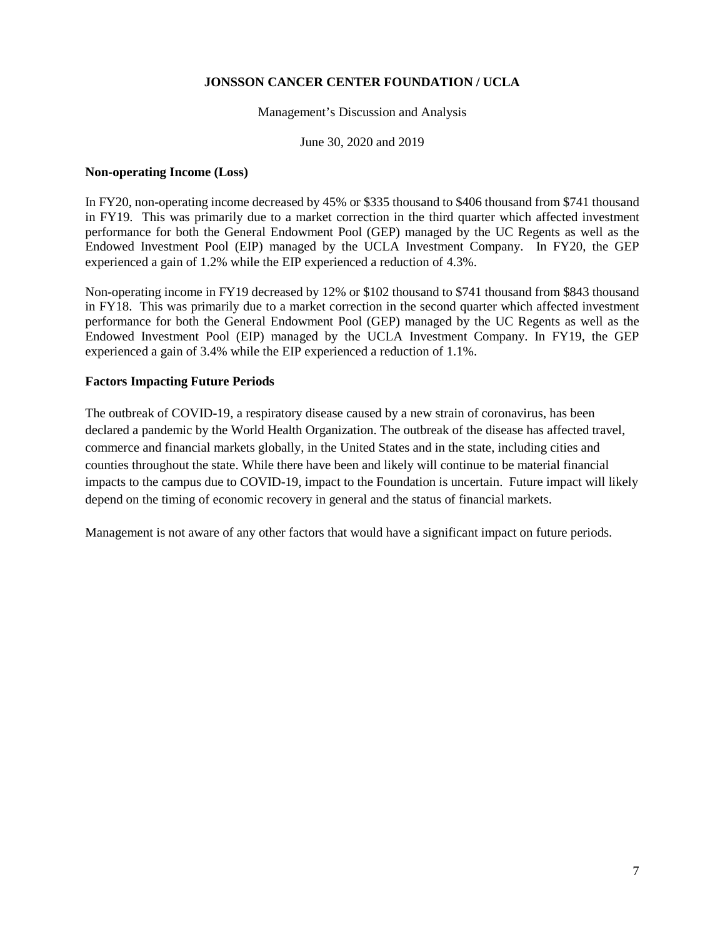Management's Discussion and Analysis

June 30, 2020 and 2019

## **Non-operating Income (Loss)**

In FY20, non-operating income decreased by 45% or \$335 thousand to \$406 thousand from \$741 thousand in FY19. This was primarily due to a market correction in the third quarter which affected investment performance for both the General Endowment Pool (GEP) managed by the UC Regents as well as the Endowed Investment Pool (EIP) managed by the UCLA Investment Company. In FY20, the GEP experienced a gain of 1.2% while the EIP experienced a reduction of 4.3%.

Non-operating income in FY19 decreased by 12% or \$102 thousand to \$741 thousand from \$843 thousand in FY18. This was primarily due to a market correction in the second quarter which affected investment performance for both the General Endowment Pool (GEP) managed by the UC Regents as well as the Endowed Investment Pool (EIP) managed by the UCLA Investment Company. In FY19, the GEP experienced a gain of 3.4% while the EIP experienced a reduction of 1.1%.

## **Factors Impacting Future Periods**

The outbreak of COVID-19, a respiratory disease caused by a new strain of coronavirus, has been declared a pandemic by the World Health Organization. The outbreak of the disease has affected travel, commerce and financial markets globally, in the United States and in the state, including cities and counties throughout the state. While there have been and likely will continue to be material financial impacts to the campus due to COVID-19, impact to the Foundation is uncertain. Future impact will likely depend on the timing of economic recovery in general and the status of financial markets.

Management is not aware of any other factors that would have a significant impact on future periods.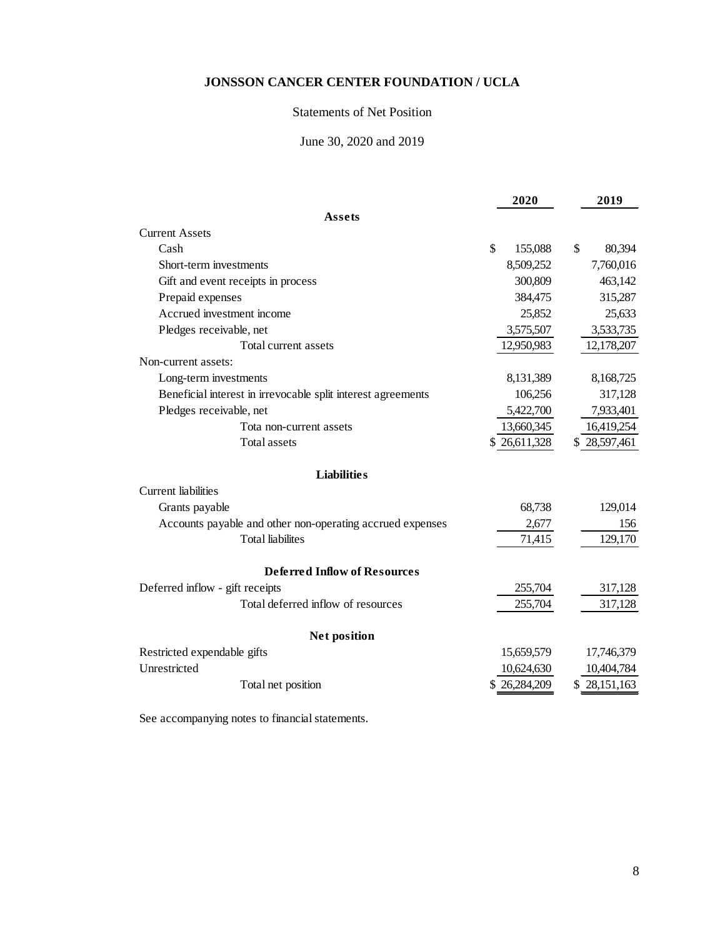# Statements of Net Position

# June 30, 2020 and 2019

|                                                              | 2020          | 2019         |
|--------------------------------------------------------------|---------------|--------------|
| <b>Assets</b>                                                |               |              |
| <b>Current Assets</b>                                        |               |              |
| Cash                                                         | \$<br>155,088 | \$<br>80,394 |
| Short-term investments                                       | 8,509,252     | 7,760,016    |
| Gift and event receipts in process                           | 300,809       | 463,142      |
| Prepaid expenses                                             | 384,475       | 315,287      |
| Accrued investment income                                    | 25,852        | 25,633       |
| Pledges receivable, net                                      | 3,575,507     | 3,533,735    |
| Total current assets                                         | 12,950,983    | 12,178,207   |
| Non-current assets:                                          |               |              |
| Long-term investments                                        | 8,131,389     | 8,168,725    |
| Beneficial interest in irrevocable split interest agreements | 106,256       | 317,128      |
| Pledges receivable, net                                      | 5,422,700     | 7,933,401    |
| Tota non-current assets                                      | 13,660,345    | 16,419,254   |
| <b>Total assets</b>                                          | \$26,611,328  | \$28,597,461 |
| <b>Liabilities</b>                                           |               |              |
|                                                              |               |              |
| Current liabilities                                          |               |              |
| Grants payable                                               | 68,738        | 129,014      |
| Accounts payable and other non-operating accrued expenses    | 2,677         | 156          |
| <b>Total liabilites</b>                                      | 71,415        | 129,170      |
| <b>Deferred Inflow of Resources</b>                          |               |              |
| Deferred inflow - gift receipts                              | 255,704       | 317,128      |
| Total deferred inflow of resources                           | 255,704       | 317,128      |
| <b>Net position</b>                                          |               |              |
| Restricted expendable gifts                                  | 15,659,579    | 17,746,379   |
| Unrestricted                                                 | 10,624,630    | 10,404,784   |
| Total net position                                           | \$26,284,209  | \$28,151,163 |
|                                                              |               |              |

See accompanying notes to financial statements.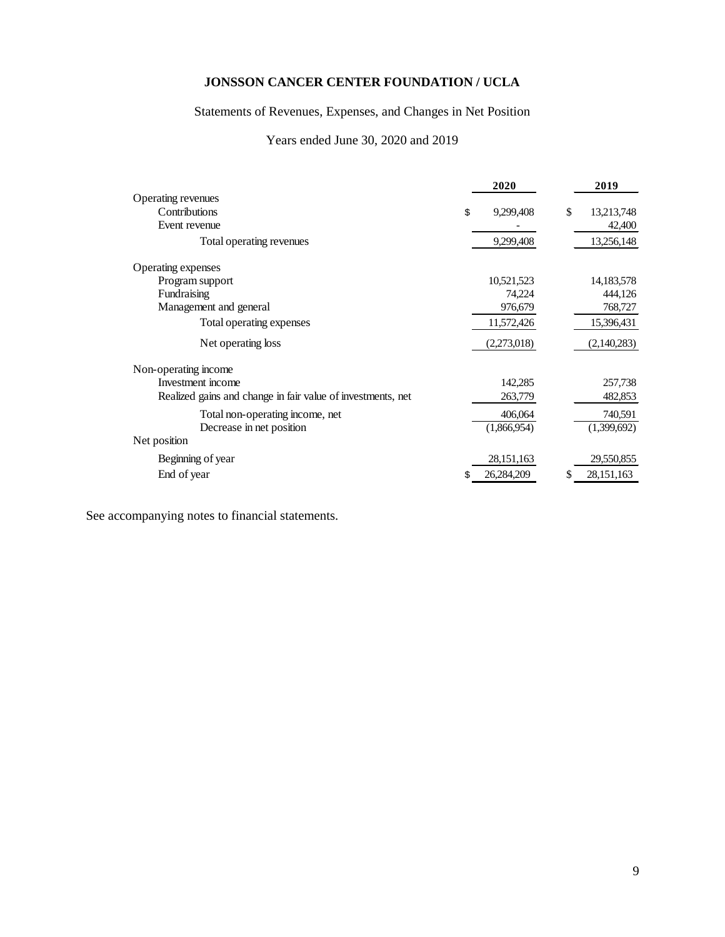# Statements of Revenues, Expenses, and Changes in Net Position

Years ended June 30, 2020 and 2019

|                                                             | 2020            | 2019               |
|-------------------------------------------------------------|-----------------|--------------------|
| Operating revenues                                          |                 |                    |
| Contributions                                               | \$<br>9,299,408 | \$<br>13,213,748   |
| Event revenue                                               |                 | 42,400             |
| Total operating revenues                                    | 9,299,408       | 13,256,148         |
| Operating expenses                                          |                 |                    |
| Program support                                             | 10,521,523      | 14, 183, 578       |
| Fundraising                                                 | 74,224          | 444,126            |
| Management and general                                      | 976,679         | 768,727            |
| Total operating expenses                                    | 11,572,426      | 15,396,431         |
| Net operating loss                                          | (2,273,018)     | (2,140,283)        |
| Non-operating income                                        |                 |                    |
| Investment income                                           | 142,285         | 257,738            |
| Realized gains and change in fair value of investments, net | 263,779         | 482,853            |
| Total non-operating income, net                             | 406,064         | 740,591            |
| Decrease in net position                                    | (1,866,954)     | (1,399,692)        |
| Net position                                                |                 |                    |
| Beginning of year                                           | 28, 151, 163    | 29,550,855         |
| End of year                                                 | 26,284,209      | \$<br>28, 151, 163 |

See accompanying notes to financial statements.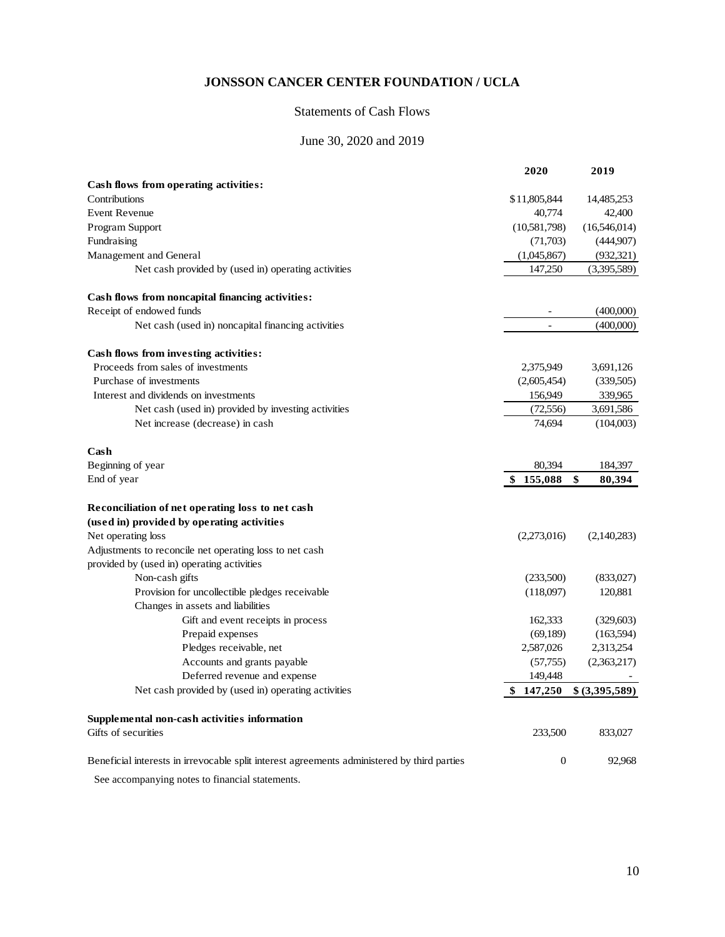## Statements of Cash Flows

# June 30, 2020 and 2019

|                                                                                             | 2020             | 2019           |
|---------------------------------------------------------------------------------------------|------------------|----------------|
| Cash flows from operating activities:                                                       |                  |                |
| Contributions                                                                               | \$11,805,844     | 14,485,253     |
| <b>Event Revenue</b>                                                                        | 40,774           | 42,400         |
| Program Support                                                                             | (10,581,798)     | (16,546,014)   |
| Fundraising                                                                                 | (71,703)         | (444,907)      |
| Management and General                                                                      | (1,045,867)      | (932, 321)     |
| Net cash provided by (used in) operating activities                                         | 147,250          | (3,395,589)    |
| Cash flows from noncapital financing activities:                                            |                  |                |
| Receipt of endowed funds                                                                    |                  | (400,000)      |
| Net cash (used in) noncapital financing activities                                          | $\overline{a}$   | (400,000)      |
| Cash flows from investing activities:                                                       |                  |                |
| Proceeds from sales of investments                                                          | 2,375,949        | 3,691,126      |
| Purchase of investments                                                                     | (2,605,454)      | (339,505)      |
| Interest and dividends on investments                                                       | 156,949          | 339,965        |
| Net cash (used in) provided by investing activities                                         | (72, 556)        | 3,691,586      |
| Net increase (decrease) in cash                                                             | 74,694           | (104,003)      |
| Cash                                                                                        |                  |                |
| Beginning of year                                                                           | 80,394           | 184,397        |
| End of year                                                                                 | \$<br>155,088    | \$<br>80,394   |
|                                                                                             |                  |                |
| Reconciliation of net operating loss to net cash                                            |                  |                |
| (used in) provided by operating activities                                                  |                  |                |
| Net operating loss                                                                          | (2,273,016)      | (2,140,283)    |
| Adjustments to reconcile net operating loss to net cash                                     |                  |                |
| provided by (used in) operating activities                                                  |                  |                |
| Non-cash gifts                                                                              | (233,500)        | (833,027)      |
| Provision for uncollectible pledges receivable                                              | (118,097)        | 120,881        |
| Changes in assets and liabilities                                                           |                  |                |
| Gift and event receipts in process                                                          | 162,333          | (329,603)      |
| Prepaid expenses                                                                            | (69,189)         | (163,594)      |
| Pledges receivable, net                                                                     | 2,587,026        | 2,313,254      |
| Accounts and grants payable                                                                 | (57,755)         | (2,363,217)    |
| Deferred revenue and expense                                                                | 149,448          |                |
| Net cash provided by (used in) operating activities                                         | 147,250          | \$ (3,395,589) |
| Supplemental non-cash activities information                                                |                  |                |
| Gifts of securities                                                                         | 233,500          | 833,027        |
| Beneficial interests in irrevocable split interest agreements administered by third parties | $\boldsymbol{0}$ | 92,968         |
| See assemption notes to financial statements                                                |                  |                |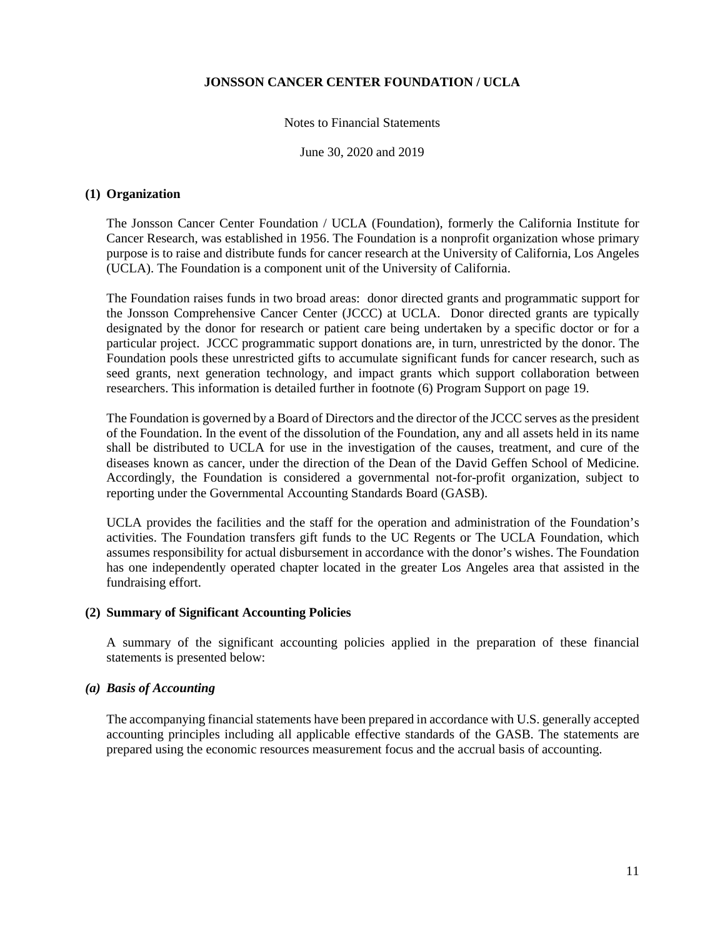### Notes to Financial Statements

June 30, 2020 and 2019

## **(1) Organization**

The Jonsson Cancer Center Foundation / UCLA (Foundation), formerly the California Institute for Cancer Research, was established in 1956. The Foundation is a nonprofit organization whose primary purpose is to raise and distribute funds for cancer research at the University of California, Los Angeles (UCLA). The Foundation is a component unit of the University of California.

The Foundation raises funds in two broad areas: donor directed grants and programmatic support for the Jonsson Comprehensive Cancer Center (JCCC) at UCLA. Donor directed grants are typically designated by the donor for research or patient care being undertaken by a specific doctor or for a particular project. JCCC programmatic support donations are, in turn, unrestricted by the donor. The Foundation pools these unrestricted gifts to accumulate significant funds for cancer research, such as seed grants, next generation technology, and impact grants which support collaboration between researchers. This information is detailed further in footnote (6) Program Support on page 19.

The Foundation is governed by a Board of Directors and the director of the JCCC serves as the president of the Foundation. In the event of the dissolution of the Foundation, any and all assets held in its name shall be distributed to UCLA for use in the investigation of the causes, treatment, and cure of the diseases known as cancer, under the direction of the Dean of the David Geffen School of Medicine. Accordingly, the Foundation is considered a governmental not-for-profit organization, subject to reporting under the Governmental Accounting Standards Board (GASB).

UCLA provides the facilities and the staff for the operation and administration of the Foundation's activities. The Foundation transfers gift funds to the UC Regents or The UCLA Foundation, which assumes responsibility for actual disbursement in accordance with the donor's wishes. The Foundation has one independently operated chapter located in the greater Los Angeles area that assisted in the fundraising effort.

## **(2) Summary of Significant Accounting Policies**

A summary of the significant accounting policies applied in the preparation of these financial statements is presented below:

## *(a) Basis of Accounting*

The accompanying financial statements have been prepared in accordance with U.S. generally accepted accounting principles including all applicable effective standards of the GASB. The statements are prepared using the economic resources measurement focus and the accrual basis of accounting.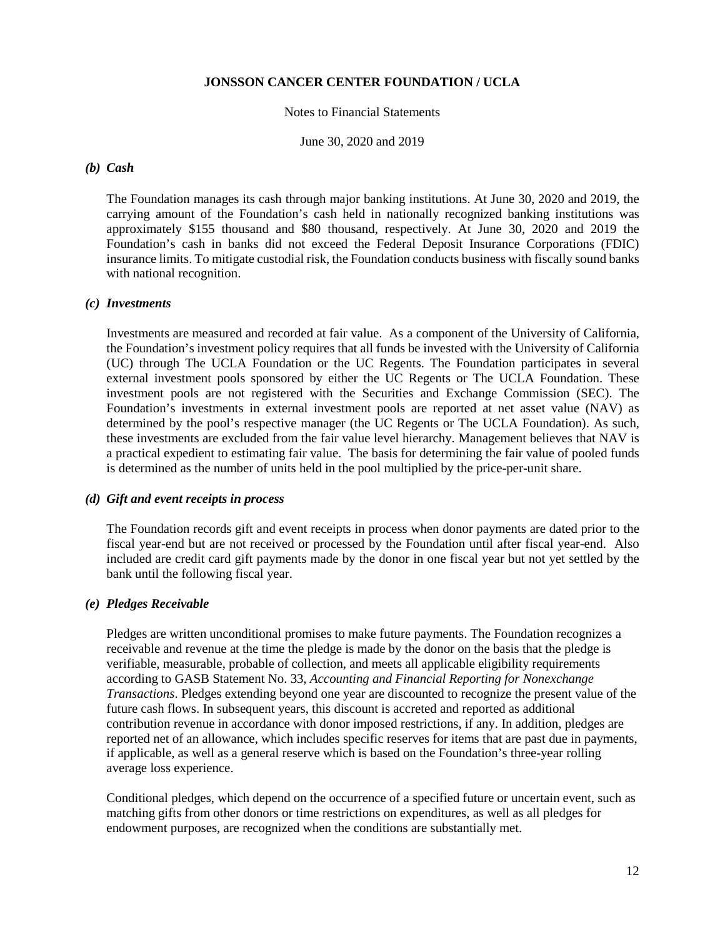#### Notes to Financial Statements

June 30, 2020 and 2019

## *(b) Cash*

The Foundation manages its cash through major banking institutions. At June 30, 2020 and 2019, the carrying amount of the Foundation's cash held in nationally recognized banking institutions was approximately \$155 thousand and \$80 thousand, respectively. At June 30, 2020 and 2019 the Foundation's cash in banks did not exceed the Federal Deposit Insurance Corporations (FDIC) insurance limits. To mitigate custodial risk, the Foundation conducts business with fiscally sound banks with national recognition.

### *(c) Investments*

Investments are measured and recorded at fair value. As a component of the University of California, the Foundation's investment policy requires that all funds be invested with the University of California (UC) through The UCLA Foundation or the UC Regents. The Foundation participates in several external investment pools sponsored by either the UC Regents or The UCLA Foundation. These investment pools are not registered with the Securities and Exchange Commission (SEC). The Foundation's investments in external investment pools are reported at net asset value (NAV) as determined by the pool's respective manager (the UC Regents or The UCLA Foundation). As such, these investments are excluded from the fair value level hierarchy. Management believes that NAV is a practical expedient to estimating fair value. The basis for determining the fair value of pooled funds is determined as the number of units held in the pool multiplied by the price-per-unit share.

## *(d) Gift and event receipts in process*

The Foundation records gift and event receipts in process when donor payments are dated prior to the fiscal year-end but are not received or processed by the Foundation until after fiscal year-end. Also included are credit card gift payments made by the donor in one fiscal year but not yet settled by the bank until the following fiscal year.

#### *(e) Pledges Receivable*

Pledges are written unconditional promises to make future payments. The Foundation recognizes a receivable and revenue at the time the pledge is made by the donor on the basis that the pledge is verifiable, measurable, probable of collection, and meets all applicable eligibility requirements according to GASB Statement No. 33, *Accounting and Financial Reporting for Nonexchange Transactions*. Pledges extending beyond one year are discounted to recognize the present value of the future cash flows. In subsequent years, this discount is accreted and reported as additional contribution revenue in accordance with donor imposed restrictions, if any. In addition, pledges are reported net of an allowance, which includes specific reserves for items that are past due in payments, if applicable, as well as a general reserve which is based on the Foundation's three-year rolling average loss experience.

Conditional pledges, which depend on the occurrence of a specified future or uncertain event, such as matching gifts from other donors or time restrictions on expenditures, as well as all pledges for endowment purposes, are recognized when the conditions are substantially met.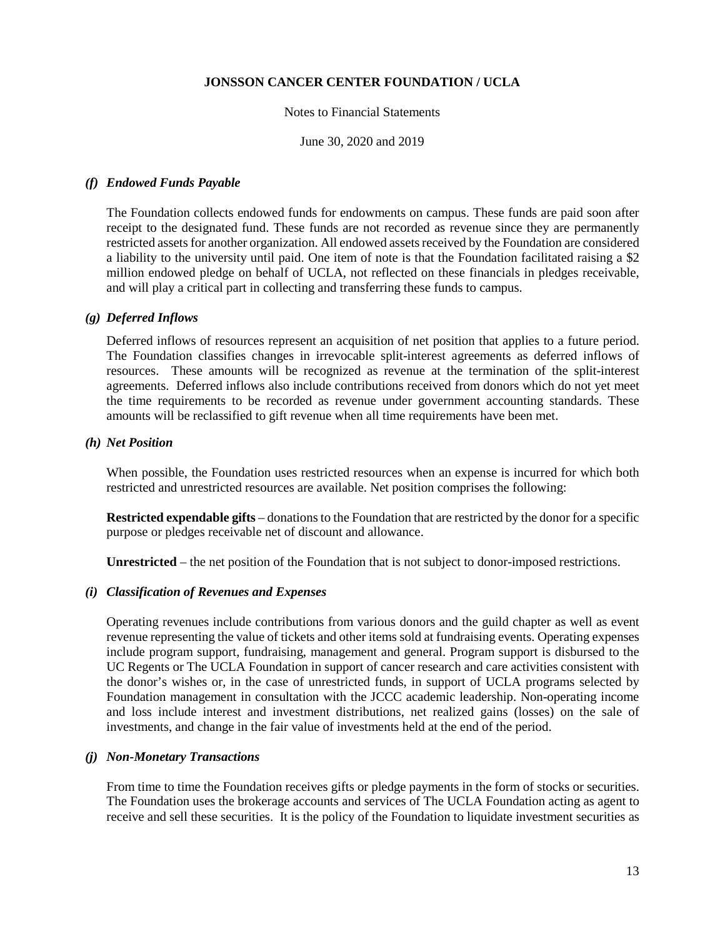#### Notes to Financial Statements

June 30, 2020 and 2019

## *(f) Endowed Funds Payable*

The Foundation collects endowed funds for endowments on campus. These funds are paid soon after receipt to the designated fund. These funds are not recorded as revenue since they are permanently restricted assets for another organization. All endowed assetsreceived by the Foundation are considered a liability to the university until paid. One item of note is that the Foundation facilitated raising a \$2 million endowed pledge on behalf of UCLA, not reflected on these financials in pledges receivable, and will play a critical part in collecting and transferring these funds to campus.

## *(g) Deferred Inflows*

Deferred inflows of resources represent an acquisition of net position that applies to a future period. The Foundation classifies changes in irrevocable split-interest agreements as deferred inflows of resources. These amounts will be recognized as revenue at the termination of the split-interest agreements. Deferred inflows also include contributions received from donors which do not yet meet the time requirements to be recorded as revenue under government accounting standards. These amounts will be reclassified to gift revenue when all time requirements have been met.

### *(h) Net Position*

When possible, the Foundation uses restricted resources when an expense is incurred for which both restricted and unrestricted resources are available. Net position comprises the following:

**Restricted expendable gifts** *–* donations to the Foundation that are restricted by the donor for a specific purpose or pledges receivable net of discount and allowance.

**Unrestricted** *–* the net position of the Foundation that is not subject to donor-imposed restrictions.

### *(i) Classification of Revenues and Expenses*

Operating revenues include contributions from various donors and the guild chapter as well as event revenue representing the value of tickets and other items sold at fundraising events. Operating expenses include program support, fundraising, management and general. Program support is disbursed to the UC Regents or The UCLA Foundation in support of cancer research and care activities consistent with the donor's wishes or, in the case of unrestricted funds, in support of UCLA programs selected by Foundation management in consultation with the JCCC academic leadership. Non-operating income and loss include interest and investment distributions, net realized gains (losses) on the sale of investments, and change in the fair value of investments held at the end of the period.

## *(j) Non-Monetary Transactions*

From time to time the Foundation receives gifts or pledge payments in the form of stocks or securities. The Foundation uses the brokerage accounts and services of The UCLA Foundation acting as agent to receive and sell these securities. It is the policy of the Foundation to liquidate investment securities as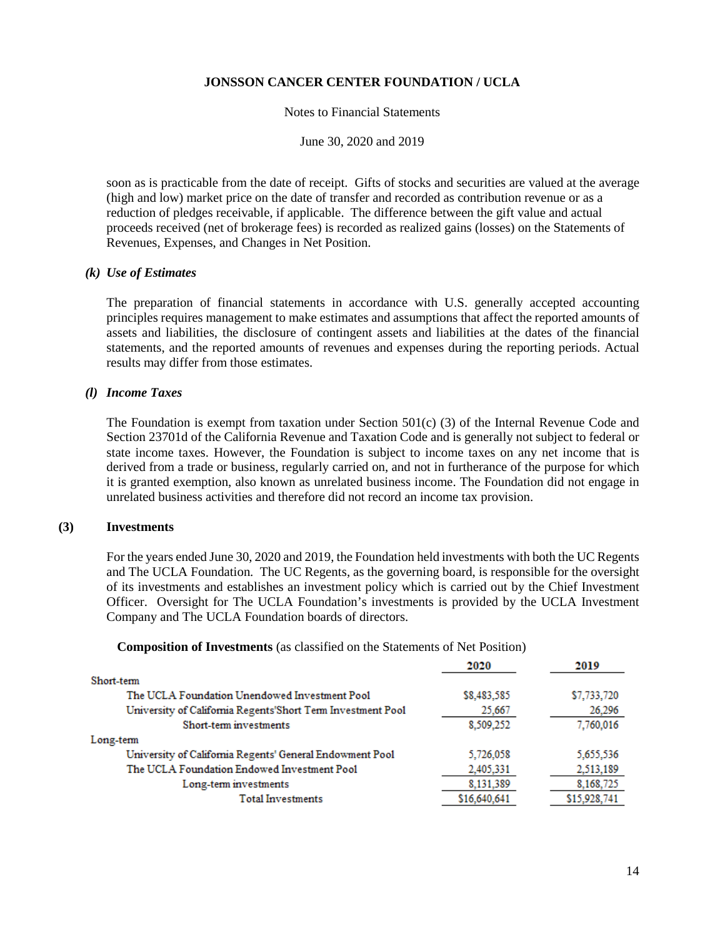Notes to Financial Statements

June 30, 2020 and 2019

soon as is practicable from the date of receipt. Gifts of stocks and securities are valued at the average (high and low) market price on the date of transfer and recorded as contribution revenue or as a reduction of pledges receivable, if applicable. The difference between the gift value and actual proceeds received (net of brokerage fees) is recorded as realized gains (losses) on the Statements of Revenues, Expenses, and Changes in Net Position.

### *(k) Use of Estimates*

The preparation of financial statements in accordance with U.S. generally accepted accounting principles requires management to make estimates and assumptions that affect the reported amounts of assets and liabilities, the disclosure of contingent assets and liabilities at the dates of the financial statements, and the reported amounts of revenues and expenses during the reporting periods. Actual results may differ from those estimates.

### *(l) Income Taxes*

The Foundation is exempt from taxation under Section 501(c) (3) of the Internal Revenue Code and Section 23701d of the California Revenue and Taxation Code and is generally not subject to federal or state income taxes. However, the Foundation is subject to income taxes on any net income that is derived from a trade or business, regularly carried on, and not in furtherance of the purpose for which it is granted exemption, also known as unrelated business income. The Foundation did not engage in unrelated business activities and therefore did not record an income tax provision.

#### **(3) Investments**

For the years ended June 30, 2020 and 2019, the Foundation held investments with both the UC Regents and The UCLA Foundation. The UC Regents, as the governing board, is responsible for the oversight of its investments and establishes an investment policy which is carried out by the Chief Investment Officer. Oversight for The UCLA Foundation's investments is provided by the UCLA Investment Company and The UCLA Foundation boards of directors.

**Composition of Investments** (as classified on the Statements of Net Position)

|                                                             | 2020         | 2019         |
|-------------------------------------------------------------|--------------|--------------|
| Short-term                                                  |              |              |
| The UCLA Foundation Unendowed Investment Pool               | \$8,483,585  | \$7,733,720  |
| University of California Regents'Short Term Investment Pool | 25,667       | 26,296       |
| Short-term investments                                      | 8,509,252    | 7,760,016    |
| Long-term                                                   |              |              |
| University of California Regents' General Endowment Pool    | 5,726,058    | 5.655.536    |
| The UCLA Foundation Endowed Investment Pool                 | 2.405.331    | 2,513,189    |
| Long-term investments                                       | 8,131,389    | 8,168,725    |
| <b>Total Investments</b>                                    | \$16,640,641 | \$15,928,741 |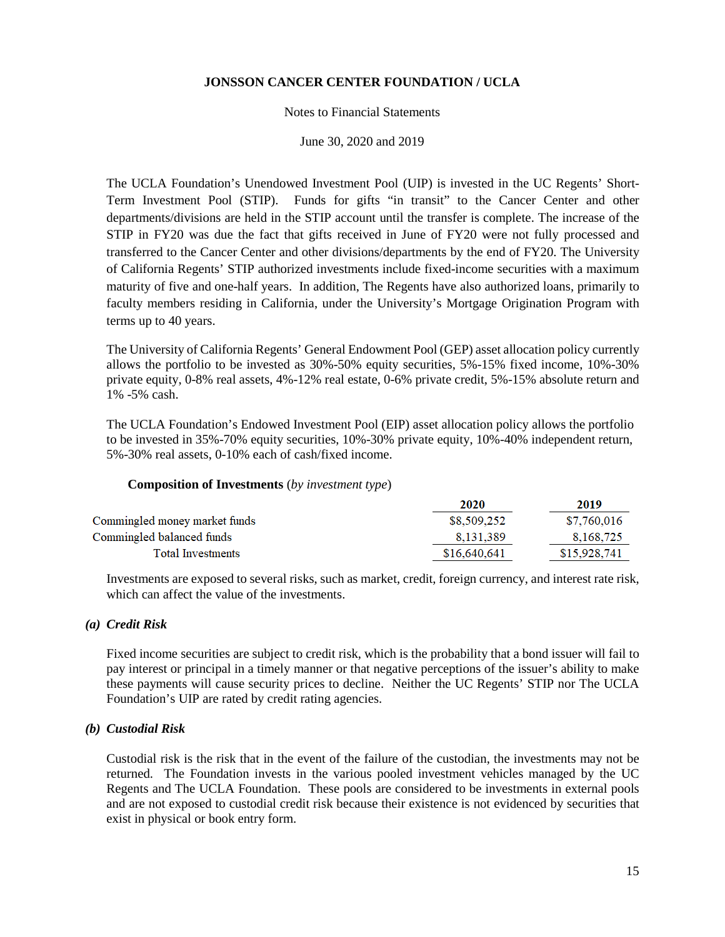#### Notes to Financial Statements

#### June 30, 2020 and 2019

The UCLA Foundation's Unendowed Investment Pool (UIP) is invested in the UC Regents' Short-Term Investment Pool (STIP). Funds for gifts "in transit" to the Cancer Center and other departments/divisions are held in the STIP account until the transfer is complete. The increase of the STIP in FY20 was due the fact that gifts received in June of FY20 were not fully processed and transferred to the Cancer Center and other divisions/departments by the end of FY20. The University of California Regents' STIP authorized investments include fixed-income securities with a maximum maturity of five and one-half years. In addition, The Regents have also authorized loans, primarily to faculty members residing in California, under the University's Mortgage Origination Program with terms up to 40 years.

The University of California Regents' General Endowment Pool (GEP) asset allocation policy currently allows the portfolio to be invested as 30%-50% equity securities, 5%-15% fixed income, 10%-30% private equity, 0-8% real assets, 4%-12% real estate, 0-6% private credit, 5%-15% absolute return and 1% -5% cash.

The UCLA Foundation's Endowed Investment Pool (EIP) asset allocation policy allows the portfolio to be invested in 35%-70% equity securities, 10%-30% private equity, 10%-40% independent return, 5%-30% real assets, 0-10% each of cash/fixed income.

#### **Composition of Investments** (*by investment type*)

|                               | 2020         | 2019         |
|-------------------------------|--------------|--------------|
| Commingled money market funds | \$8,509,252  | \$7,760,016  |
| Commingled balanced funds     | 8.131.389    | 8.168.725    |
| <b>Total Investments</b>      | \$16,640,641 | \$15,928,741 |

Investments are exposed to several risks, such as market, credit, foreign currency, and interest rate risk, which can affect the value of the investments.

#### *(a) Credit Risk*

Fixed income securities are subject to credit risk, which is the probability that a bond issuer will fail to pay interest or principal in a timely manner or that negative perceptions of the issuer's ability to make these payments will cause security prices to decline. Neither the UC Regents' STIP nor The UCLA Foundation's UIP are rated by credit rating agencies.

## *(b) Custodial Risk*

Custodial risk is the risk that in the event of the failure of the custodian, the investments may not be returned. The Foundation invests in the various pooled investment vehicles managed by the UC Regents and The UCLA Foundation. These pools are considered to be investments in external pools and are not exposed to custodial credit risk because their existence is not evidenced by securities that exist in physical or book entry form.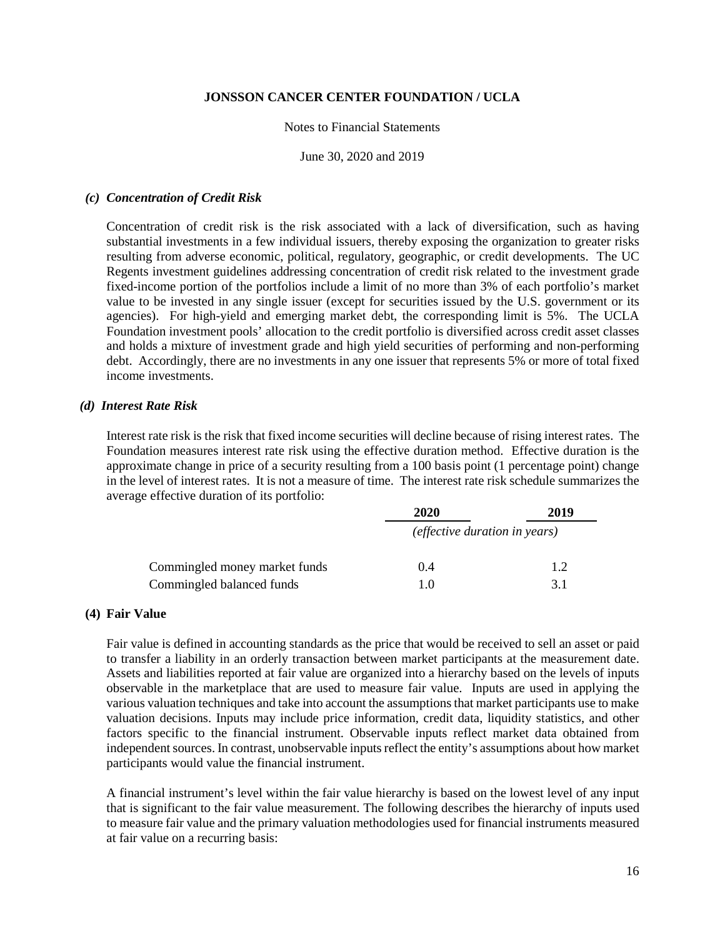#### Notes to Financial Statements

#### June 30, 2020 and 2019

#### *(c) Concentration of Credit Risk*

Concentration of credit risk is the risk associated with a lack of diversification, such as having substantial investments in a few individual issuers, thereby exposing the organization to greater risks resulting from adverse economic, political, regulatory, geographic, or credit developments. The UC Regents investment guidelines addressing concentration of credit risk related to the investment grade fixed-income portion of the portfolios include a limit of no more than 3% of each portfolio's market value to be invested in any single issuer (except for securities issued by the U.S. government or its agencies). For high-yield and emerging market debt, the corresponding limit is 5%. The UCLA Foundation investment pools' allocation to the credit portfolio is diversified across credit asset classes and holds a mixture of investment grade and high yield securities of performing and non-performing debt. Accordingly, there are no investments in any one issuer that represents 5% or more of total fixed income investments.

#### *(d) Interest Rate Risk*

Interest rate risk is the risk that fixed income securities will decline because of rising interest rates. The Foundation measures interest rate risk using the effective duration method. Effective duration is the approximate change in price of a security resulting from a 100 basis point (1 percentage point) change in the level of interest rates. It is not a measure of time. The interest rate risk schedule summarizes the average effective duration of its portfolio:

|                               | 2020                                 | 2019 |  |
|-------------------------------|--------------------------------------|------|--|
|                               | <i>(effective duration in years)</i> |      |  |
| Commingled money market funds | 0.4                                  | 12   |  |
| Commingled balanced funds     | 10                                   | 3.1  |  |

#### **(4) Fair Value**

Fair value is defined in accounting standards as the price that would be received to sell an asset or paid to transfer a liability in an orderly transaction between market participants at the measurement date. Assets and liabilities reported at fair value are organized into a hierarchy based on the levels of inputs observable in the marketplace that are used to measure fair value. Inputs are used in applying the various valuation techniques and take into account the assumptions that market participants use to make valuation decisions. Inputs may include price information, credit data, liquidity statistics, and other factors specific to the financial instrument. Observable inputs reflect market data obtained from independent sources. In contrast, unobservable inputs reflect the entity's assumptions about how market participants would value the financial instrument.

A financial instrument's level within the fair value hierarchy is based on the lowest level of any input that is significant to the fair value measurement. The following describes the hierarchy of inputs used to measure fair value and the primary valuation methodologies used for financial instruments measured at fair value on a recurring basis: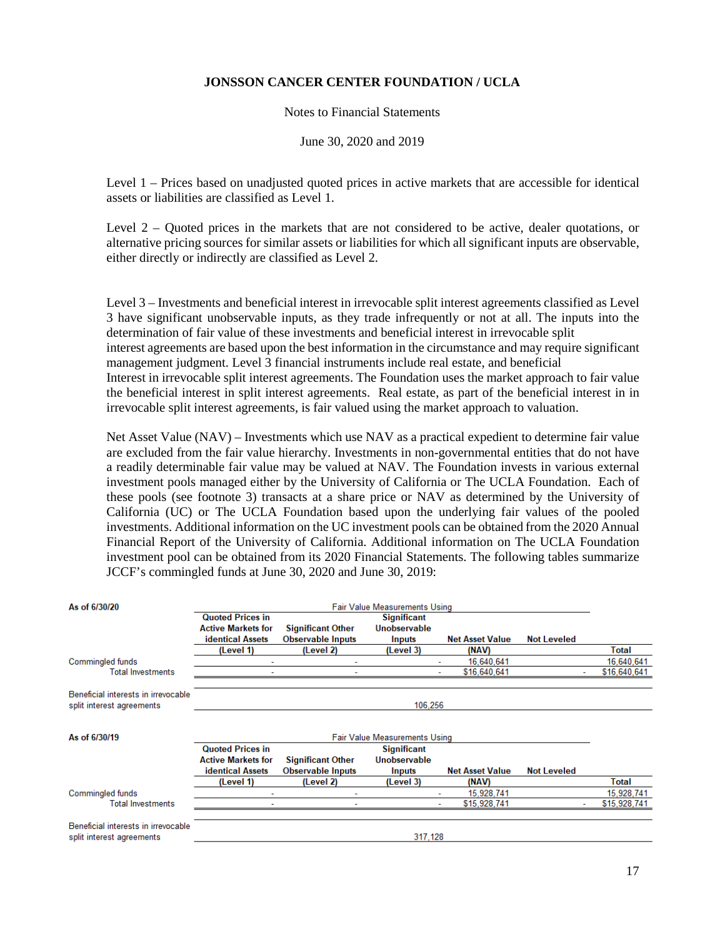Notes to Financial Statements

June 30, 2020 and 2019

Level 1 – Prices based on unadjusted quoted prices in active markets that are accessible for identical assets or liabilities are classified as Level 1.

Level 2 – Quoted prices in the markets that are not considered to be active, dealer quotations, or alternative pricing sources for similar assets or liabilities for which all significant inputs are observable, either directly or indirectly are classified as Level 2.

Level 3 – Investments and beneficial interest in irrevocable split interest agreements classified as Level 3 have significant unobservable inputs, as they trade infrequently or not at all. The inputs into the determination of fair value of these investments and beneficial interest in irrevocable split interest agreements are based upon the best information in the circumstance and may require significant management judgment. Level 3 financial instruments include real estate, and beneficial Interest in irrevocable split interest agreements. The Foundation uses the market approach to fair value the beneficial interest in split interest agreements. Real estate, as part of the beneficial interest in in irrevocable split interest agreements, is fair valued using the market approach to valuation.

Net Asset Value (NAV) – Investments which use NAV as a practical expedient to determine fair value are excluded from the fair value hierarchy. Investments in non-governmental entities that do not have a readily determinable fair value may be valued at NAV. The Foundation invests in various external investment pools managed either by the University of California or The UCLA Foundation. Each of these pools (see footnote 3) transacts at a share price or NAV as determined by the University of California (UC) or The UCLA Foundation based upon the underlying fair values of the pooled investments. Additional information on the UC investment pools can be obtained from the 2020 Annual Financial Report of the University of California. Additional information on The UCLA Foundation investment pool can be obtained from its 2020 Financial Statements. The following tables summarize JCCF's commingled funds at June 30, 2020 and June 30, 2019:

| As of 6/30/20                       |                           |                          | <b>Fair Value Measurements Using</b> |                        |                    |              |
|-------------------------------------|---------------------------|--------------------------|--------------------------------------|------------------------|--------------------|--------------|
|                                     | <b>Quoted Prices in</b>   |                          | <b>Significant</b>                   |                        |                    |              |
|                                     | <b>Active Markets for</b> | <b>Significant Other</b> | Unobservable                         |                        |                    |              |
|                                     | <b>identical Assets</b>   | <b>Observable Inputs</b> | Inputs                               | <b>Net Asset Value</b> | <b>Not Leveled</b> |              |
|                                     | (Level 1)                 | (Level 2)                | (Level 3)                            | (NAV)                  |                    | Total        |
| <b>Commingled funds</b>             | ۰                         |                          |                                      | 16,640,641             |                    | 16,640,641   |
| <b>Total Investments</b>            | ۰                         |                          |                                      | \$16,640,641           | ٠                  | \$16,640,641 |
|                                     |                           |                          |                                      |                        |                    |              |
| Beneficial interests in irrevocable |                           |                          |                                      |                        |                    |              |
| split interest agreements           |                           |                          | 106.256                              |                        |                    |              |
|                                     |                           |                          |                                      |                        |                    |              |
| As of 6/30/19                       |                           |                          | <b>Fair Value Measurements Using</b> |                        |                    |              |
|                                     | <b>Quoted Prices in</b>   |                          | <b>Significant</b>                   |                        |                    |              |
|                                     | <b>Active Markets for</b> | <b>Significant Other</b> | Unobservable                         |                        |                    |              |
|                                     | <b>identical Assets</b>   | <b>Observable Inputs</b> | Inputs                               | <b>Net Asset Value</b> | <b>Not Leveled</b> |              |
|                                     | (Level 1)                 | (Level 2)                | (Level 3)                            | (NAV)                  |                    | Total        |
| <b>Commingled funds</b>             |                           |                          |                                      | 15,928,741             |                    | 15,928,741   |
| <b>Total Investments</b>            |                           |                          |                                      | \$15,928,741           |                    | \$15,928,741 |
|                                     |                           |                          |                                      |                        |                    |              |
| Beneficial interests in irrevocable |                           |                          |                                      |                        |                    |              |
| split interest agreements           |                           |                          | 317.128                              |                        |                    |              |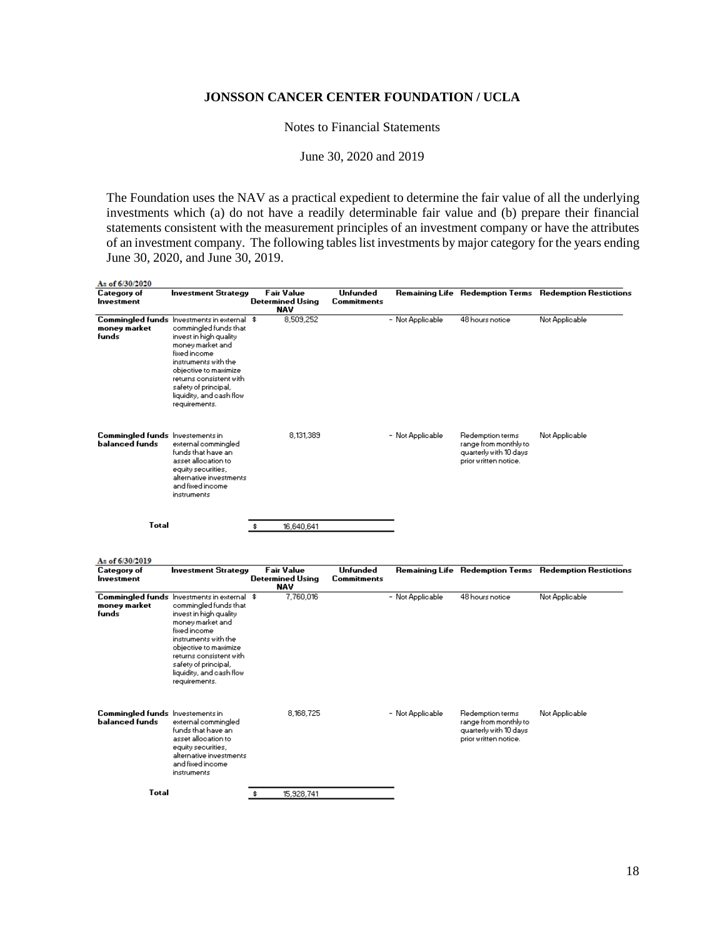Notes to Financial Statements

#### June 30, 2020 and 2019

The Foundation uses the NAV as a practical expedient to determine the fair value of all the underlying investments which (a) do not have a readily determinable fair value and (b) prepare their financial statements consistent with the measurement principles of an investment company or have the attributes of an investment company. The following tables list investments by major category for the years ending June 30, 2020, and June 30, 2019.

| Category of<br>Investment                                 | <b>Investment Strategy</b>                                                                                                                                                                                                                                                          | Fair Value<br>Determined Using<br>NAV                      | <b>Unfunded</b><br>Commitments |                  |                                                                                              | Remaining Life Redemption Terms Redemption Restictions |
|-----------------------------------------------------------|-------------------------------------------------------------------------------------------------------------------------------------------------------------------------------------------------------------------------------------------------------------------------------------|------------------------------------------------------------|--------------------------------|------------------|----------------------------------------------------------------------------------------------|--------------------------------------------------------|
| money market<br>funds                                     | Commingled funds Investments in external \$<br>commingled funds that<br>invest in high quality<br>money market and<br>fixed income<br>instruments with the<br>objective to maximize<br>returns consistent with<br>safety of principal,<br>liquidity, and eash flow<br>requirements. | 8,509,252                                                  |                                | - Not Applicable | 48 hours notice                                                                              | Not Applicable                                         |
| <b>Commingled funds</b> Investements in<br>balanced funds | external commingled<br>funds that have an<br>asset allocation to<br>equity securities,<br>alternative investments<br>and fixed income<br><i>instruments</i>                                                                                                                         | 8,131,389                                                  |                                | - Not Applicable | Redemption terms<br>range from monthly to<br>quarterly with 10 days<br>prior written notice. | Not Applicable                                         |
| Total                                                     |                                                                                                                                                                                                                                                                                     | 16,640,641<br>\$                                           |                                |                  |                                                                                              |                                                        |
|                                                           |                                                                                                                                                                                                                                                                                     |                                                            |                                |                  |                                                                                              |                                                        |
|                                                           |                                                                                                                                                                                                                                                                                     |                                                            |                                |                  |                                                                                              |                                                        |
| As of 6/30/2019                                           |                                                                                                                                                                                                                                                                                     |                                                            |                                |                  |                                                                                              |                                                        |
| Category of<br>Investment                                 | <b>Investment Strategy</b>                                                                                                                                                                                                                                                          | <b>Fair Value</b><br><b>Determined Using</b><br><b>NAV</b> | Unfunded<br><b>Commitments</b> |                  | <b>Remaining Life Redemption Terms</b>                                                       | <b>Redemption Restictions</b>                          |
| money market<br>funds                                     | Commingled funds Investments in external \$<br>commingled funds that<br>invest in high quality<br>money market and<br>fixed income<br>instruments with the<br>objective to maximize<br>returns consistent with<br>safety of principal,<br>liquidity, and eash flow<br>requirements. | 7,760,016                                                  |                                | - Not Applicable | 48 hours notice                                                                              | Not Applicable                                         |
| <b>Commingled funds</b> Investements in<br>balanced funds | external commingled<br>funds that have an<br>asset allocation to<br>equity securities,<br>alternative investments<br>and fixed income<br>instruments                                                                                                                                | 8,168,725                                                  |                                | - Not Applicable | Redemption terms<br>range from monthly to<br>quarterly with 10 days<br>prior written notice. | Not Applicable                                         |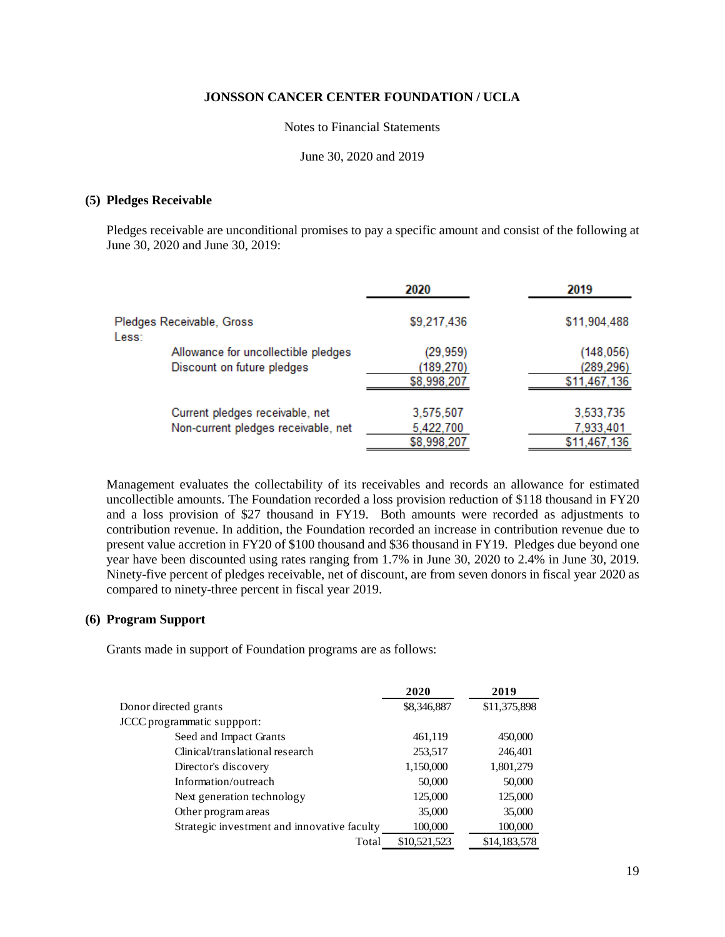#### Notes to Financial Statements

#### June 30, 2020 and 2019

#### **(5) Pledges Receivable**

Pledges receivable are unconditional promises to pay a specific amount and consist of the following at June 30, 2020 and June 30, 2019:

|                                     | 2020                      | 2019                       |
|-------------------------------------|---------------------------|----------------------------|
| Pledges Receivable, Gross<br>Less:  | \$9,217,436               | \$11,904,488               |
| Allowance for uncollectible pledges | (29, 959)                 | (148, 056)                 |
| Discount on future pledges          | (189, 270)<br>\$8,998,207 | (289, 296)<br>\$11,467,136 |
| Current pledges receivable, net     | 3,575,507                 | 3,533,735                  |
| Non-current pledges receivable, net | 5,422,700<br>\$8,998,207  | 7,933,401<br>\$11,467,136  |

Management evaluates the collectability of its receivables and records an allowance for estimated uncollectible amounts. The Foundation recorded a loss provision reduction of \$118 thousand in FY20 and a loss provision of \$27 thousand in FY19. Both amounts were recorded as adjustments to contribution revenue. In addition, the Foundation recorded an increase in contribution revenue due to present value accretion in FY20 of \$100 thousand and \$36 thousand in FY19. Pledges due beyond one year have been discounted using rates ranging from 1.7% in June 30, 2020 to 2.4% in June 30, 2019. Ninety-five percent of pledges receivable, net of discount, are from seven donors in fiscal year 2020 as compared to ninety-three percent in fiscal year 2019.

#### **(6) Program Support**

Grants made in support of Foundation programs are as follows:

|                                             | 2020         | 2019         |
|---------------------------------------------|--------------|--------------|
| Donor directed grants                       | \$8,346,887  | \$11,375,898 |
| JCCC programmatic suppport:                 |              |              |
| Seed and Impact Grants                      | 461,119      | 450,000      |
| Clinical/translational research             | 253,517      | 246,401      |
| Director's discovery                        | 1,150,000    | 1,801,279    |
| Information/outreach                        | 50,000       | 50,000       |
| Next generation technology                  | 125,000      | 125,000      |
| Other program areas                         | 35,000       | 35,000       |
| Strategic investment and innovative faculty | 100,000      | 100,000      |
| Total                                       | \$10,521,523 | \$14,183,578 |